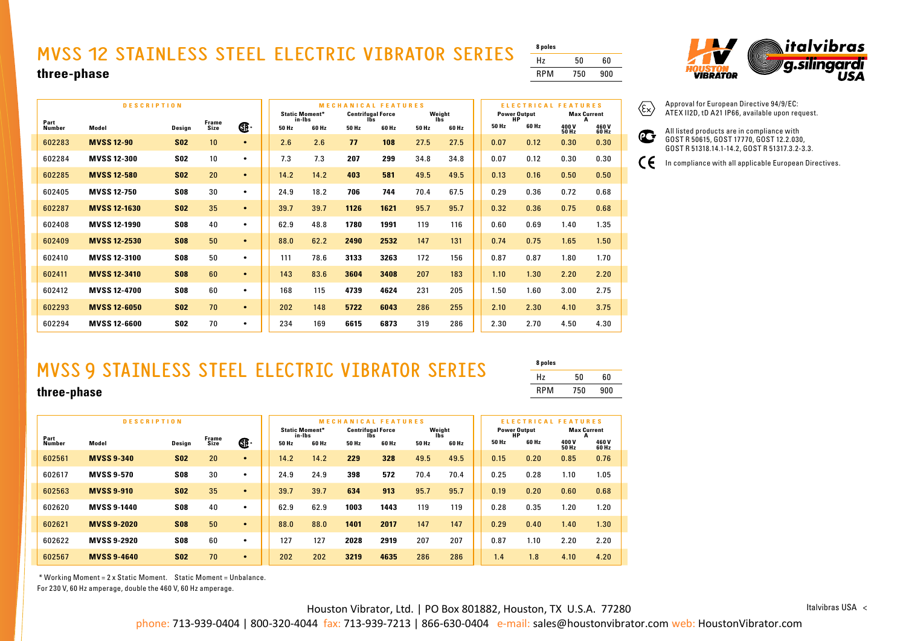# **MVSS 12 STAINLESS STEEL ELECTRIC VIBRATOR SERIES three-phase**

| hree-phase     |                     |            |                                                                                           |           |       |        |       |              |       |       |                     |                   |                                       | <b>RPM</b> | 750                       | 90            |
|----------------|---------------------|------------|-------------------------------------------------------------------------------------------|-----------|-------|--------|-------|--------------|-------|-------|---------------------|-------------------|---------------------------------------|------------|---------------------------|---------------|
|                |                     |            |                                                                                           |           |       |        |       |              |       |       |                     |                   |                                       |            |                           |               |
|                | <b>DESCRIPTION</b>  |            | <b>MECHANICAL FEATURES</b><br><b>Centrifugal Force</b><br>Weight<br><b>Static Moment*</b> |           |       |        |       |              |       |       | <b>Power Output</b> | <b>ELECTRICAL</b> | <b>FEATURES</b><br><b>Max Current</b> |            |                           |               |
| Part<br>Number | Model               | Design     | Frame<br>Size                                                                             | œ.        | 50 Hz | in-Ibs | 60 Hz | lbs<br>50 Hz | 60 Hz | 50 Hz | lbs<br>60 Hz        |                   | HP<br>50 Hz                           | 60 Hz      | A<br>400V<br><b>50 Hz</b> | 460V<br>60 Hz |
| 602283         | <b>MVSS 12-90</b>   | <b>S02</b> | 10                                                                                        | $\bullet$ |       | 2.6    | 2.6   | 77           | 108   | 27.5  | 27.5                |                   | 0.07                                  | 0.12       | 0.30                      | 0.30          |
| 602284         | <b>MVSS 12-300</b>  | <b>S02</b> | 10                                                                                        | $\bullet$ |       | 7.3    | 7.3   | 207          | 299   | 34.8  | 34.8                |                   | 0.07                                  | 0.12       | 0.30                      | 0.30          |
| 602285         | <b>MVSS 12-580</b>  | <b>S02</b> | 20                                                                                        | $\bullet$ |       | 14.2   | 14.2  | 403          | 581   | 49.5  | 49.5                |                   | 0.13                                  | 0.16       | 0.50                      | 0.50          |
| 602405         | <b>MVSS 12-750</b>  | <b>S08</b> | 30                                                                                        | $\bullet$ |       | 24.9   | 18.2  | 706          | 744   | 70.4  | 67.5                |                   | 0.29                                  | 0.36       | 0.72                      | 0.68          |
| 602287         | <b>MVSS 12-1630</b> | <b>S02</b> | 35                                                                                        | $\bullet$ |       | 39.7   | 39.7  | 1126         | 1621  | 95.7  | 95.7                |                   | 0.32                                  | 0.36       | 0.75                      | 0.68          |
| 602408         | <b>MVSS 12-1990</b> | <b>S08</b> | 40                                                                                        | $\bullet$ | 62.9  |        | 48.8  | 1780         | 1991  | 119   | 116                 |                   | 0.60                                  | 0.69       | 1.40                      | 1.35          |
| 602409         | <b>MVSS 12-2530</b> | <b>S08</b> | 50                                                                                        | $\bullet$ |       | 88.0   | 62.2  | 2490         | 2532  | 147   | 131                 |                   | 0.74                                  | 0.75       | 1.65                      | 1.50          |
| 602410         | <b>MVSS 12-3100</b> | <b>S08</b> | 50                                                                                        | $\bullet$ | 111   |        | 78.6  | 3133         | 3263  | 172   | 156                 |                   | 0.87                                  | 0.87       | 1.80                      | 1.70          |
| 602411         | <b>MVSS 12-3410</b> | <b>S08</b> | 60                                                                                        | $\bullet$ |       | 143    | 83.6  | 3604         | 3408  | 207   | 183                 |                   | 1.10                                  | 1.30       | 2.20                      | 2.20          |

**8 poles** Hz 50 60 RPM 750 900

 $\mathbf{C}$ 

 $\epsilon$ 



Approval for European Directive 94/9/EC:  $\langle \widehat{\epsilon_{\mathsf{x}}}\rangle$ ATEX II2D, tD A21 IP66, available upon request.

> All listed products are in compliance with GOST R 50615, GOST 17770, GOST 12.2.030, GOST R 51318.14.1-14.2, GOST R 51317.3.2-3.3.

In compliance with all applicable European Directives.

# **MVSS 9 STAINLESS STEEL ELECTRIC VIBRATOR SERIES**

| 8 poles    |     |     |
|------------|-----|-----|
| Hz         | 50  | 60  |
| <b>RPM</b> | 750 | 900 |

#### **three-phase**

|                       | <b>DESCRIPTION</b> | <b>MECHANICAL FEATURES</b><br>Weight<br><b>Static Moment*</b><br><b>Centrifugal Force</b> |               |           |       |                 | ELECTRICAL FEATURES<br><b>Power Output</b><br><b>Max Current</b> |              |       |              |       |             |                       |                |
|-----------------------|--------------------|-------------------------------------------------------------------------------------------|---------------|-----------|-------|-----------------|------------------------------------------------------------------|--------------|-------|--------------|-------|-------------|-----------------------|----------------|
| Part<br><b>Number</b> | Model              | Design                                                                                    | Frame<br>Size | Œ         | 50 Hz | in-Ibs<br>60 Hz | 50 Hz                                                            | lbs<br>60 Hz | 50 Hz | lbs<br>60 Hz | 50 Hz | НP<br>60 Hz | 400 V<br><b>50 Hz</b> | 460 V<br>60 Hz |
| 602561                | <b>MVSS 9-340</b>  | <b>S02</b>                                                                                | 20            | $\bullet$ | 14.2  | 14.2            | 229                                                              | 328          | 49.5  | 49.5         | 0.15  | 0.20        | 0.85                  | 0.76           |
| 602617                | <b>MVSS 9-570</b>  | <b>S08</b>                                                                                | 30            | ٠         | 24.9  | 24.9            | 398                                                              | 572          | 70.4  | 70.4         | 0.25  | 0.28        | 1.10                  | 1.05           |
| 602563                | <b>MVSS 9-910</b>  | <b>S02</b>                                                                                | 35            | $\bullet$ | 39.7  | 39.7            | 634                                                              | 913          | 95.7  | 95.7         | 0.19  | 0.20        | 0.60                  | 0.68           |
| 602620                | <b>MVSS 9-1440</b> | <b>S08</b>                                                                                | 40            | ٠         | 62.9  | 62.9            | 1003                                                             | 1443         | 119   | 119          | 0.28  | 0.35        | 1.20                  | 1.20           |
| 602621                | <b>MVSS 9-2020</b> | <b>S08</b>                                                                                | 50            | $\bullet$ | 88.0  | 88.0            | 1401                                                             | 2017         | 147   | 147          | 0.29  | 0.40        | 1.40                  | 1.30           |
| 602622                | <b>MVSS 9-2920</b> | <b>S08</b>                                                                                | 60            | ٠         | 127   | 127             | 2028                                                             | 2919         | 207   | 207          | 0.87  | 1.10        | 2.20                  | 2.20           |
| 602567                | <b>MVSS 9-4640</b> | <b>S02</b>                                                                                | 70            | $\bullet$ | 202   | 202             | 3219                                                             | 4635         | 286   | 286          | 1.4   | 1.8         | 4.10                  | 4.20           |

602412 **MVSS 12-4700 S08** 60 • 168 115 **4739 4624** 231 205 1.50 1.60 3.00 2.75 602293 **MVSS 12-6050 S02** 70 • 202 148 **5722 6043** 286 255 2.10 2.30 4.10 3.75 602294 **MVSS 12-6600 S02** 70 • 234 169 **6615 6873** 319 286 2.30 2.70 4.50 4.30

\* Working Moment = 2 x Static Moment. Static Moment = Unbalance.

For 230 V, 60 Hz amperage, double the 460 V, 60 Hz amperage.

Houston Vibrator, Ltd. | PO Box 801882, Houston, TX U.S.A. 77280

Italvibras USA <

phone: 713-939-0404 | 800-320-4044 fax: 713-939-7213 | 866-630-0404 e-mail: sales@houstonvibrator.com web: HoustonVibrator.com